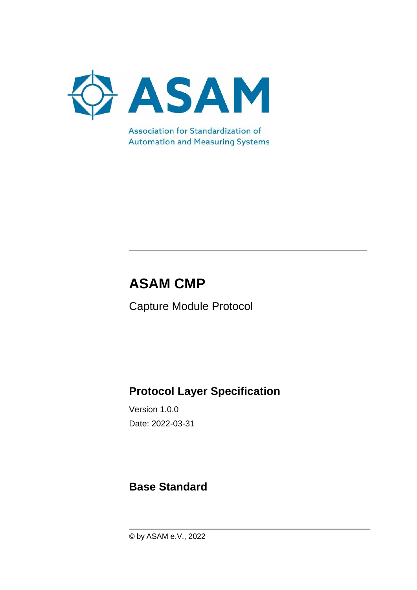

**Automation and Measuring Systems** 

# **ASAM CMP**

Capture Module Protocol

## **Protocol Layer Specification**

Version 1.0.0 Date: 2022-03-31

### **Base Standard**

© by ASAM e.V., 2022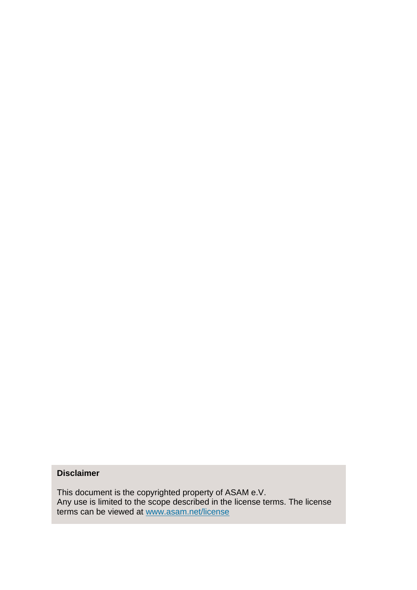#### **Disclaimer**

This document is the copyrighted property of ASAM e.V. Any use is limited to the scope described in the license terms. The license terms can be viewed at [www.asam.net/license](http://www.asam.net/license)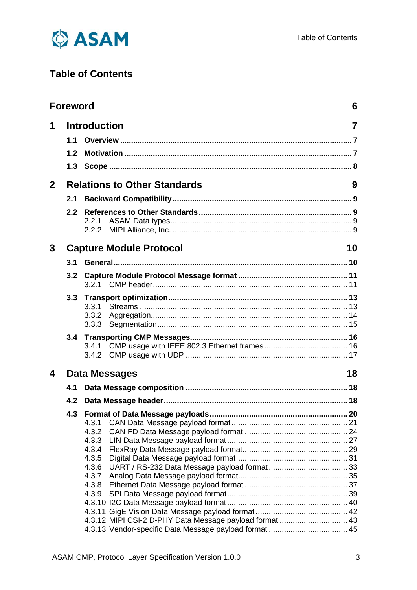

### **Table of Contents**

|                | <b>Foreword</b>                      |                                                         | 6      |  |  |
|----------------|--------------------------------------|---------------------------------------------------------|--------|--|--|
| 1              | 1.1<br>1.2<br>1.3                    | <b>Introduction</b>                                     | 7<br>9 |  |  |
| 2 <sup>2</sup> |                                      | <b>Relations to Other Standards</b>                     |        |  |  |
|                | 2.1                                  |                                                         |        |  |  |
|                | 2.2                                  | 2.2.1<br>2.2.2                                          |        |  |  |
| 3              | <b>Capture Module Protocol</b><br>10 |                                                         |        |  |  |
|                | 3.1                                  |                                                         |        |  |  |
|                | 3.2                                  |                                                         |        |  |  |
|                | 3.3                                  |                                                         |        |  |  |
|                |                                      | 3.3.1                                                   |        |  |  |
|                |                                      | 3.3.2                                                   |        |  |  |
|                | 3.4                                  |                                                         |        |  |  |
|                |                                      | 3.4.1                                                   |        |  |  |
| 4              |                                      | <b>Data Messages</b><br>18                              |        |  |  |
|                | 4.1                                  |                                                         |        |  |  |
|                |                                      |                                                         |        |  |  |
|                |                                      |                                                         |        |  |  |
|                |                                      | 4.3.1                                                   |        |  |  |
|                |                                      | 4.3.2                                                   |        |  |  |
|                |                                      | 4.3.3                                                   |        |  |  |
|                |                                      | 4.3.4<br>4.3.5                                          |        |  |  |
|                |                                      | 4.3.6                                                   |        |  |  |
|                |                                      | 4.3.7                                                   |        |  |  |
|                |                                      | 4.3.8                                                   |        |  |  |
|                |                                      | 4.3.9                                                   |        |  |  |
|                |                                      |                                                         |        |  |  |
|                |                                      | 4.3.12 MIPI CSI-2 D-PHY Data Message payload format  43 |        |  |  |
|                |                                      |                                                         |        |  |  |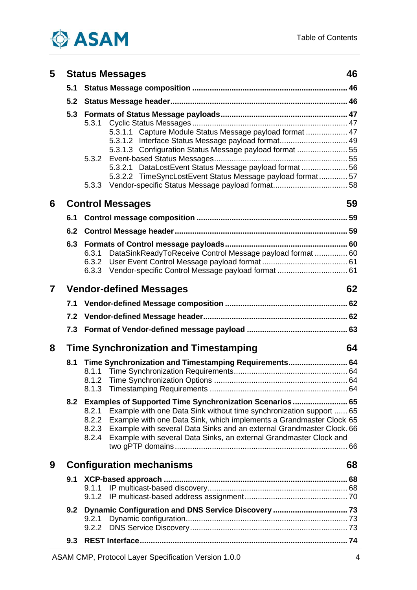

| 5 | <b>Status Messages</b><br>46 |                                                                                                                                                                                                                                                                                                                                                                                           |    |  |  |  |
|---|------------------------------|-------------------------------------------------------------------------------------------------------------------------------------------------------------------------------------------------------------------------------------------------------------------------------------------------------------------------------------------------------------------------------------------|----|--|--|--|
|   | 5.1                          |                                                                                                                                                                                                                                                                                                                                                                                           |    |  |  |  |
|   | 5.2                          |                                                                                                                                                                                                                                                                                                                                                                                           |    |  |  |  |
|   | 5.3                          | 5.3.1.1 Capture Module Status Message payload format  47<br>5.3.1.2 Interface Status Message payload format 49<br>5.3.1.3 Configuration Status Message payload format  55                                                                                                                                                                                                                 |    |  |  |  |
|   |                              | 5.3.2<br>5.3.2.1 DataLostEvent Status Message payload format  56<br>5.3.2.2 TimeSyncLostEvent Status Message payload format 57                                                                                                                                                                                                                                                            |    |  |  |  |
| 6 |                              | 5.3.3<br><b>Control Messages</b>                                                                                                                                                                                                                                                                                                                                                          | 59 |  |  |  |
|   | 6.1                          |                                                                                                                                                                                                                                                                                                                                                                                           |    |  |  |  |
|   | 6.2                          |                                                                                                                                                                                                                                                                                                                                                                                           |    |  |  |  |
|   | 6.3                          | DataSinkReadyToReceive Control Message payload format  60<br>6.3.1<br>6.3.2                                                                                                                                                                                                                                                                                                               |    |  |  |  |
| 7 |                              | <b>Vendor-defined Messages</b>                                                                                                                                                                                                                                                                                                                                                            | 62 |  |  |  |
|   | 7.1                          |                                                                                                                                                                                                                                                                                                                                                                                           |    |  |  |  |
|   | 7.2                          |                                                                                                                                                                                                                                                                                                                                                                                           |    |  |  |  |
|   | 7.3                          |                                                                                                                                                                                                                                                                                                                                                                                           |    |  |  |  |
| 8 |                              | <b>Time Synchronization and Timestamping</b><br>64                                                                                                                                                                                                                                                                                                                                        |    |  |  |  |
|   | 8.1                          | Time Synchronization and Timestamping Requirements 64                                                                                                                                                                                                                                                                                                                                     |    |  |  |  |
|   | 8.2                          | Examples of Supported Time Synchronization Scenarios  65<br>Example with one Data Sink without time synchronization support  65<br>8.2.1<br>Example with one Data Sink, which implements a Grandmaster Clock 65<br>8.2.2<br>Example with several Data Sinks and an external Grandmaster Clock. 66<br>8.2.3<br>Example with several Data Sinks, an external Grandmaster Clock and<br>8.2.4 |    |  |  |  |
| 9 |                              | <b>Configuration mechanisms</b>                                                                                                                                                                                                                                                                                                                                                           | 68 |  |  |  |
|   | 9.1                          |                                                                                                                                                                                                                                                                                                                                                                                           |    |  |  |  |
|   |                              | 9.2.1<br>9.2.2                                                                                                                                                                                                                                                                                                                                                                            |    |  |  |  |
|   | 9.3                          |                                                                                                                                                                                                                                                                                                                                                                                           |    |  |  |  |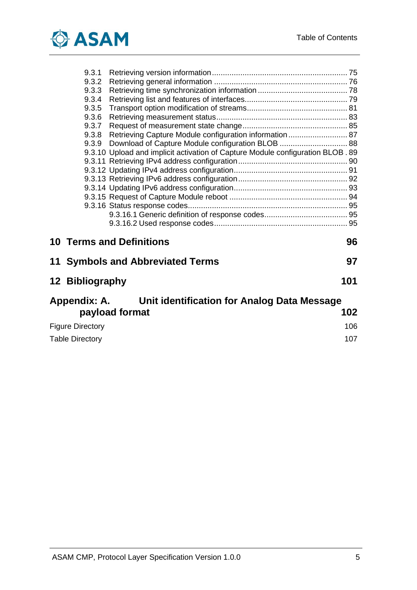

|                         | 9.3.1                  |                                                                                 |     |  |  |  |
|-------------------------|------------------------|---------------------------------------------------------------------------------|-----|--|--|--|
|                         | 9.3.2                  |                                                                                 |     |  |  |  |
|                         | 9.3.3                  |                                                                                 |     |  |  |  |
|                         | 9.3.4                  |                                                                                 |     |  |  |  |
|                         | 9.3.5                  |                                                                                 |     |  |  |  |
|                         | 9.3.6                  |                                                                                 |     |  |  |  |
|                         | 9.3.7                  |                                                                                 |     |  |  |  |
|                         | 9.3.8                  | Retrieving Capture Module configuration information  87                         |     |  |  |  |
|                         | 9.3.9                  |                                                                                 |     |  |  |  |
|                         |                        | 9.3.10 Upload and implicit activation of Capture Module configuration BLOB . 89 |     |  |  |  |
|                         |                        |                                                                                 |     |  |  |  |
|                         |                        |                                                                                 |     |  |  |  |
|                         |                        |                                                                                 |     |  |  |  |
|                         |                        |                                                                                 |     |  |  |  |
|                         |                        |                                                                                 |     |  |  |  |
|                         |                        |                                                                                 |     |  |  |  |
|                         |                        |                                                                                 |     |  |  |  |
|                         |                        |                                                                                 |     |  |  |  |
|                         |                        | <b>10 Terms and Definitions</b>                                                 | 96  |  |  |  |
|                         |                        | 11 Symbols and Abbreviated Terms                                                | 97  |  |  |  |
|                         | 12 Bibliography        |                                                                                 | 101 |  |  |  |
|                         |                        | Appendix: A. Unit identification for Analog Data Message                        |     |  |  |  |
|                         |                        | payload format                                                                  | 102 |  |  |  |
| <b>Figure Directory</b> |                        |                                                                                 |     |  |  |  |
|                         | <b>Table Directory</b> |                                                                                 |     |  |  |  |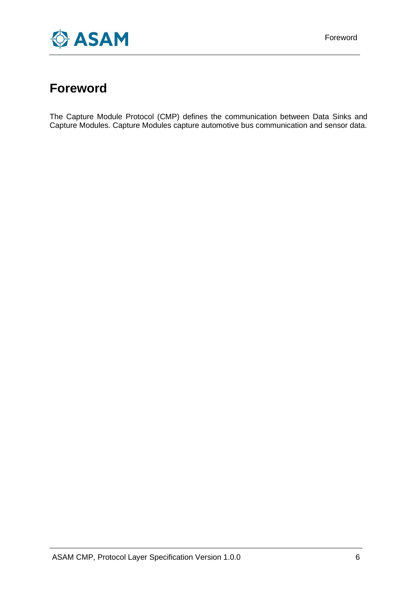

### <span id="page-5-0"></span>**Foreword**

The Capture Module Protocol (CMP) defines the communication between Data Sinks and Capture Modules. Capture Modules capture automotive bus communication and sensor data.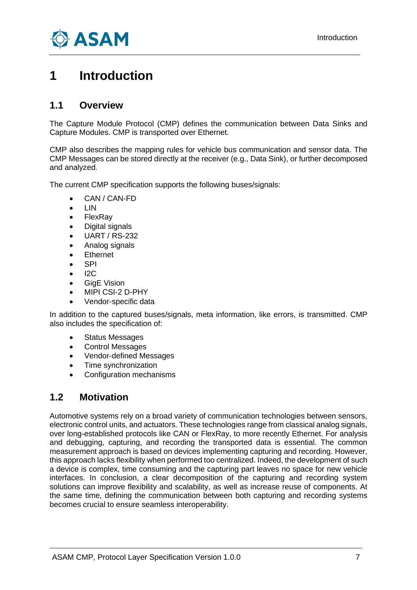

### <span id="page-6-0"></span>**1 Introduction**

#### <span id="page-6-1"></span>**1.1 Overview**

The Capture Module Protocol (CMP) defines the communication between Data Sinks and Capture Modules. CMP is transported over Ethernet.

CMP also describes the mapping rules for vehicle bus communication and sensor data. The CMP Messages can be stored directly at the receiver (e.g., Data Sink), or further decomposed and analyzed.

The current CMP specification supports the following buses/signals:

- CAN / CAN-FD
- LIN
- **FlexRav**
- Digital signals
- UART / RS-232
- Analog signals
- **Ethernet**
- SPI
- $12C$
- GigE Vision
- MIPI CSI-2 D-PHY
- Vendor-specific data

In addition to the captured buses/signals, meta information, like errors, is transmitted. CMP also includes the specification of:

- Status Messages
- Control Messages
- Vendor-defined Messages
- Time synchronization
- Configuration mechanisms

#### <span id="page-6-2"></span>**1.2 Motivation**

Automotive systems rely on a broad variety of communication technologies between sensors, electronic control units, and actuators. These technologies range from classical analog signals, over long-established protocols like CAN or FlexRay, to more recently Ethernet. For analysis and debugging, capturing, and recording the transported data is essential. The common measurement approach is based on devices implementing capturing and recording. However, this approach lacks flexibility when performed too centralized. Indeed, the development of such a device is complex, time consuming and the capturing part leaves no space for new vehicle interfaces. In conclusion, a clear decomposition of the capturing and recording system solutions can improve flexibility and scalability, as well as increase reuse of components. At the same time, defining the communication between both capturing and recording systems becomes crucial to ensure seamless interoperability.